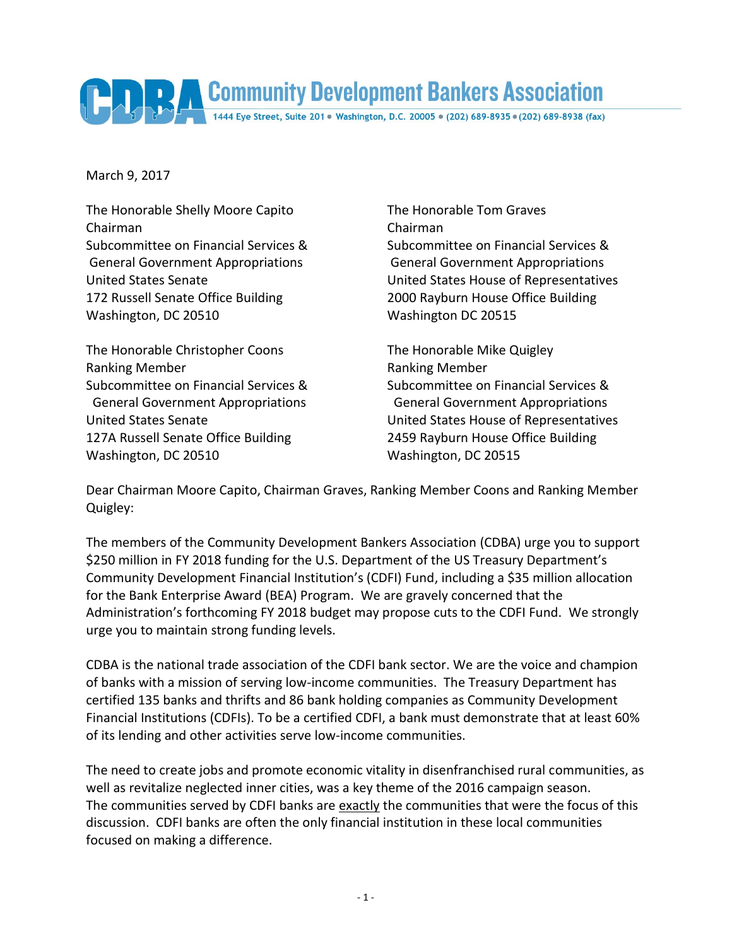

March 9, 2017

The Honorable Shelly Moore Capito The Honorable Tom Graves Chairman Chairman 172 Russell Senate Office Building 2000 Rayburn House Office Building Washington, DC 20510 Washington DC 20515

The Honorable Christopher Coons The Honorable Mike Quigley Ranking Member **Ranking Member** Ranking Member 127A Russell Senate Office Building 2459 Rayburn House Office Building Washington, DC 20510 Washington, DC 20515

Subcommittee on Financial Services & Subcommittee on Financial Services & General Government Appropriations General Government Appropriations United States Senate United States House of Representatives

Subcommittee on Financial Services & Subcommittee on Financial Services & General Government Appropriations General Government Appropriations United States Senate United States House of Representatives

Dear Chairman Moore Capito, Chairman Graves, Ranking Member Coons and Ranking Member Quigley:

The members of the Community Development Bankers Association (CDBA) urge you to support \$250 million in FY 2018 funding for the U.S. Department of the US Treasury Department's Community Development Financial Institution's (CDFI) Fund, including a \$35 million allocation for the Bank Enterprise Award (BEA) Program. We are gravely concerned that the Administration's forthcoming FY 2018 budget may propose cuts to the CDFI Fund. We strongly urge you to maintain strong funding levels.

CDBA is the national trade association of the CDFI bank sector. We are the voice and champion of banks with a mission of serving low-income communities. The Treasury Department has certified 135 banks and thrifts and 86 bank holding companies as Community Development Financial Institutions (CDFIs). To be a certified CDFI, a bank must demonstrate that at least 60% of its lending and other activities serve low-income communities.

The need to create jobs and promote economic vitality in disenfranchised rural communities, as well as revitalize neglected inner cities, was a key theme of the 2016 campaign season. The communities served by CDFI banks are exactly the communities that were the focus of this discussion. CDFI banks are often the only financial institution in these local communities focused on making a difference.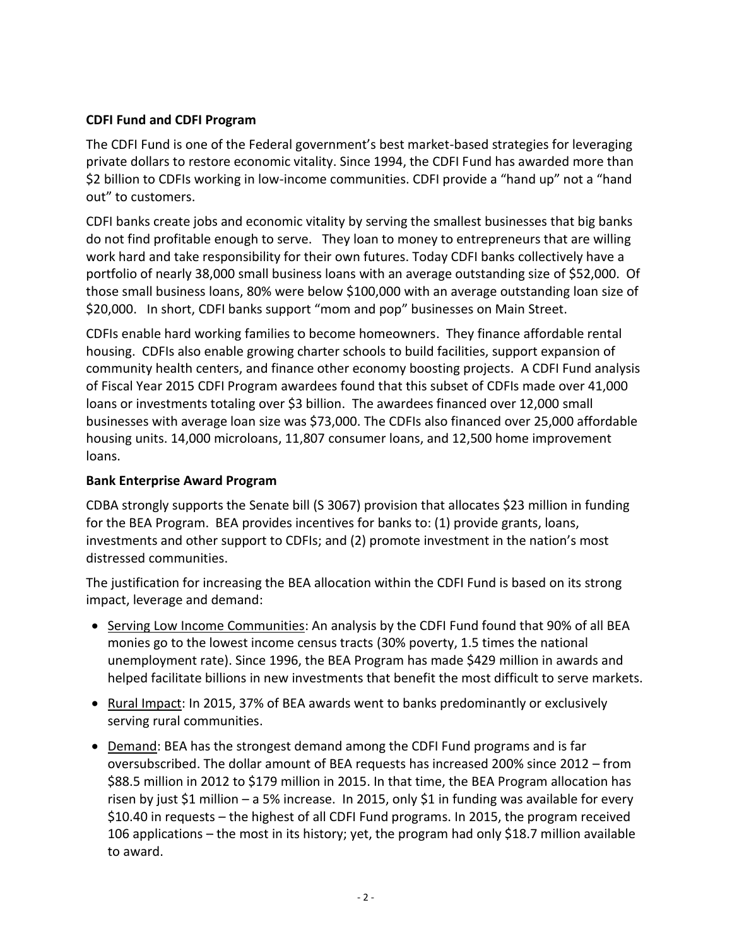## **CDFI Fund and CDFI Program**

The CDFI Fund is one of the Federal government's best market-based strategies for leveraging private dollars to restore economic vitality. Since 1994, the CDFI Fund has awarded more than \$2 billion to CDFIs working in low-income communities. CDFI provide a "hand up" not a "hand out" to customers.

CDFI banks create jobs and economic vitality by serving the smallest businesses that big banks do not find profitable enough to serve. They loan to money to entrepreneurs that are willing work hard and take responsibility for their own futures. Today CDFI banks collectively have a portfolio of nearly 38,000 small business loans with an average outstanding size of \$52,000. Of those small business loans, 80% were below \$100,000 with an average outstanding loan size of \$20,000. In short, CDFI banks support "mom and pop" businesses on Main Street.

CDFIs enable hard working families to become homeowners. They finance affordable rental housing. CDFIs also enable growing charter schools to build facilities, support expansion of community health centers, and finance other economy boosting projects. A CDFI Fund analysis of Fiscal Year 2015 CDFI Program awardees found that this subset of CDFIs made over 41,000 loans or investments totaling over \$3 billion. The awardees financed over 12,000 small businesses with average loan size was \$73,000. The CDFIs also financed over 25,000 affordable housing units. 14,000 microloans, 11,807 consumer loans, and 12,500 home improvement loans.

## **Bank Enterprise Award Program**

CDBA strongly supports the Senate bill (S 3067) provision that allocates \$23 million in funding for the BEA Program. BEA provides incentives for banks to: (1) provide grants, loans, investments and other support to CDFIs; and (2) promote investment in the nation's most distressed communities.

The justification for increasing the BEA allocation within the CDFI Fund is based on its strong impact, leverage and demand:

- Serving Low Income Communities: An analysis by the CDFI Fund found that 90% of all BEA monies go to the lowest income census tracts (30% poverty, 1.5 times the national unemployment rate). Since 1996, the BEA Program has made \$429 million in awards and helped facilitate billions in new investments that benefit the most difficult to serve markets.
- Rural Impact: In 2015, 37% of BEA awards went to banks predominantly or exclusively serving rural communities.
- Demand: BEA has the strongest demand among the CDFI Fund programs and is far oversubscribed. The dollar amount of BEA requests has increased 200% since 2012 – from \$88.5 million in 2012 to \$179 million in 2015. In that time, the BEA Program allocation has risen by just \$1 million – a 5% increase. In 2015, only \$1 in funding was available for every \$10.40 in requests – the highest of all CDFI Fund programs. In 2015, the program received 106 applications – the most in its history; yet, the program had only \$18.7 million available to award.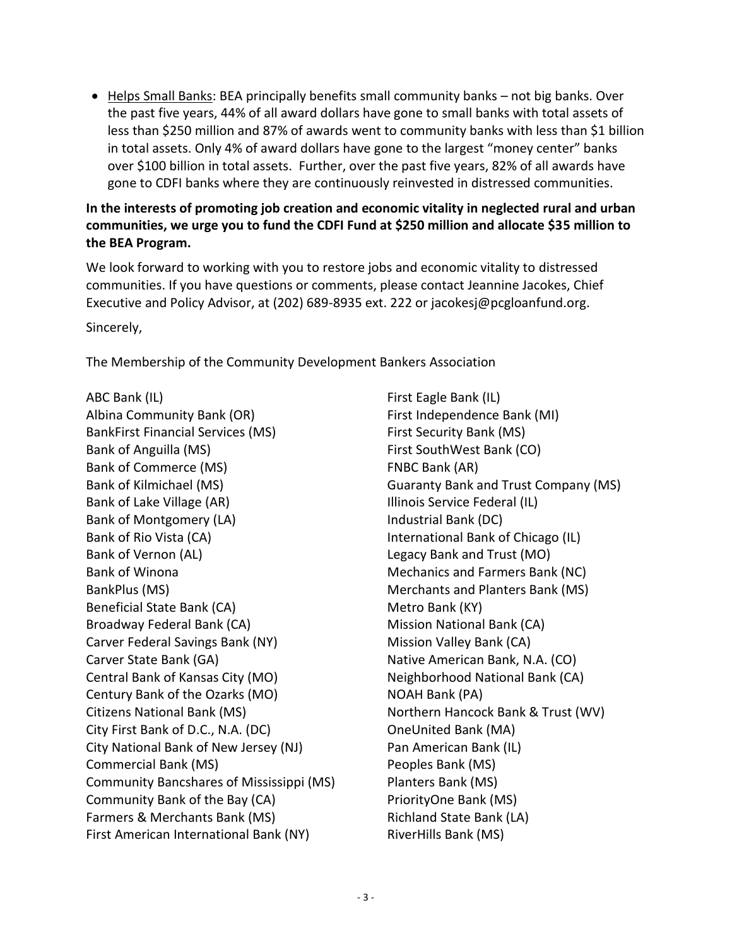$\bullet$  Helps Small Banks: BEA principally benefits small community banks – not big banks. Over the past five years, 44% of all award dollars have gone to small banks with total assets of less than \$250 million and 87% of awards went to community banks with less than \$1 billion in total assets. Only 4% of award dollars have gone to the largest "money center" banks over \$100 billion in total assets. Further, over the past five years, 82% of all awards have gone to CDFI banks where they are continuously reinvested in distressed communities.

## **In the interests of promoting job creation and economic vitality in neglected rural and urban communities, we urge you to fund the CDFI Fund at \$250 million and allocate \$35 million to the BEA Program.**

We look forward to working with you to restore jobs and economic vitality to distressed communities. If you have questions or comments, please contact Jeannine Jacokes, Chief Executive and Policy Advisor, at (202) 689-8935 ext. 222 or jacokesj@pcgloanfund.org. Sincerely,

The Membership of the Community Development Bankers Association

ABC Bank (IL) Albina Community Bank (OR) BankFirst Financial Services (MS) Bank of Anguilla (MS) Bank of Commerce (MS) Bank of Kilmichael (MS) Bank of Lake Village (AR) Bank of Montgomery (LA) Bank of Rio Vista (CA) Bank of Vernon (AL) Bank of Winona BankPlus (MS) Beneficial State Bank (CA) Broadway Federal Bank (CA) Carver Federal Savings Bank (NY) Carver State Bank (GA) Central Bank of Kansas City (MO) Century Bank of the Ozarks (MO) Citizens National Bank (MS) City First Bank of D.C., N.A. (DC) City National Bank of New Jersey (NJ) Commercial Bank (MS) Community Bancshares of Mississippi (MS) Community Bank of the Bay (CA) Farmers & Merchants Bank (MS) First American International Bank (NY)

First Eagle Bank (IL) First Independence Bank (MI) First Security Bank (MS) First SouthWest Bank (CO) FNBC Bank (AR) Guaranty Bank and Trust Company (MS) Illinois Service Federal (IL) Industrial Bank (DC) International Bank of Chicago (IL) Legacy Bank and Trust (MO) Mechanics and Farmers Bank (NC) Merchants and Planters Bank (MS) Metro Bank (KY) Mission National Bank (CA) Mission Valley Bank (CA) Native American Bank, N.A. (CO) Neighborhood National Bank (CA) NOAH Bank (PA) Northern Hancock Bank & Trust (WV) OneUnited Bank (MA) Pan American Bank (IL) Peoples Bank (MS) Planters Bank (MS) PriorityOne Bank (MS) Richland State Bank (LA) RiverHills Bank (MS)